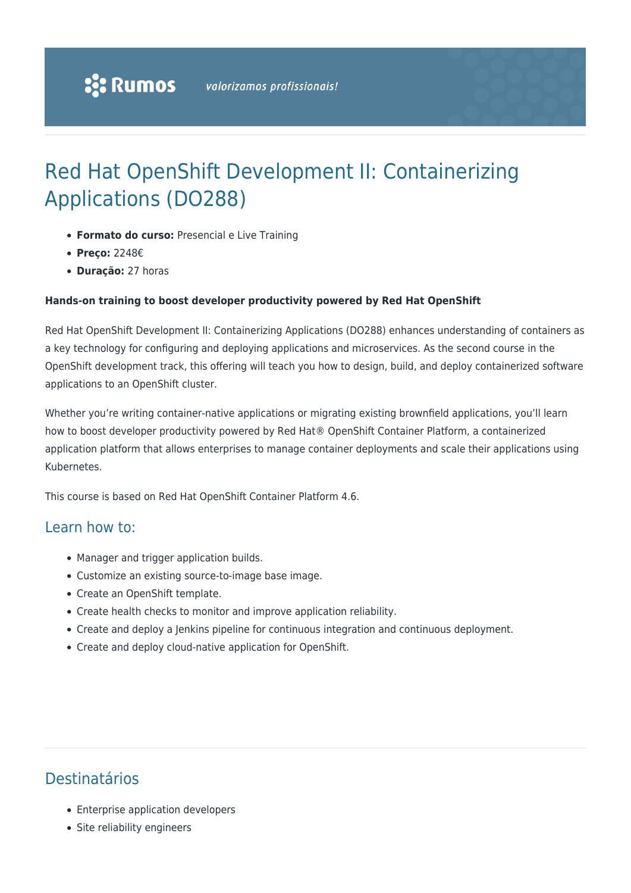# Red Hat OpenShift Development II: Containerizing Applications (DO288)

- **Formato do curso:** Presencial e Live Training
- **Preço:** 2248€
- **Duração:** 27 horas

#### **Hands-on training to boost developer productivity powered by Red Hat OpenShift**

Red Hat OpenShift Development II: Containerizing Applications (DO288) enhances understanding of containers as a key technology for configuring and deploying applications and microservices. As the second course in the OpenShift development track, this offering will teach you how to design, build, and deploy containerized software applications to an OpenShift cluster.

Whether you're writing container-native applications or migrating existing brownfield applications, you'll learn how to boost developer productivity powered by Red Hat® OpenShift Container Platform, a containerized application platform that allows enterprises to manage container deployments and scale their applications using Kubernetes.

This course is based on Red Hat OpenShift Container Platform 4.6.

#### Learn how to:

- Manager and trigger application builds.
- Customize an existing source-to-image base image.
- Create an OpenShift template.
- Create health checks to monitor and improve application reliability.
- Create and deploy a Jenkins pipeline for continuous integration and continuous deployment.
- Create and deploy cloud-native application for OpenShift.

### Destinatários

- Enterprise application developers
- Site reliability engineers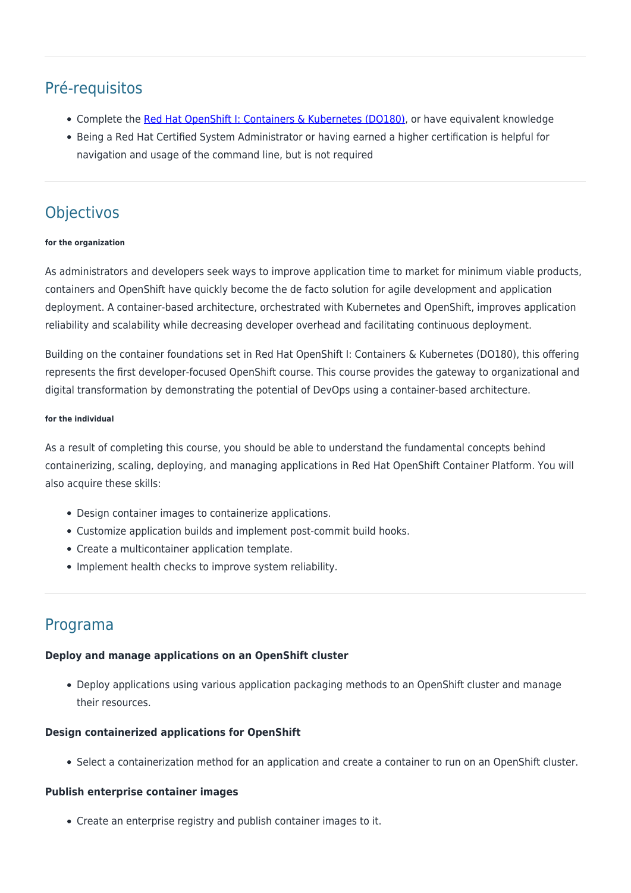# Pré-requisitos

- Complete the [Red Hat OpenShift I: Containers & Kubernetes \(DO180\)](https://rumos.pt/curso/introduction-to-containers-kubernetes-and-openshift-do180-presencial/), or have equivalent knowledge
- Being a Red Hat Certified System Administrator or having earned a higher certification is helpful for navigation and usage of the command line, but is not required

# **Objectivos**

#### **for the organization**

As administrators and developers seek ways to improve application time to market for minimum viable products, containers and OpenShift have quickly become the de facto solution for agile development and application deployment. A container-based architecture, orchestrated with Kubernetes and OpenShift, improves application reliability and scalability while decreasing developer overhead and facilitating continuous deployment.

Building on the container foundations set in Red Hat OpenShift I: Containers & Kubernetes (DO180), this offering represents the first developer-focused OpenShift course. This course provides the gateway to organizational and digital transformation by demonstrating the potential of DevOps using a container-based architecture.

#### **for the individual**

As a result of completing this course, you should be able to understand the fundamental concepts behind containerizing, scaling, deploying, and managing applications in Red Hat OpenShift Container Platform. You will also acquire these skills:

- Design container images to containerize applications.
- Customize application builds and implement post-commit build hooks.
- Create a multicontainer application template.
- Implement health checks to improve system reliability.

### Programa

#### **Deploy and manage applications on an OpenShift cluster**

Deploy applications using various application packaging methods to an OpenShift cluster and manage their resources.

#### **Design containerized applications for OpenShift**

Select a containerization method for an application and create a container to run on an OpenShift cluster.

#### **Publish enterprise container images**

Create an enterprise registry and publish container images to it.